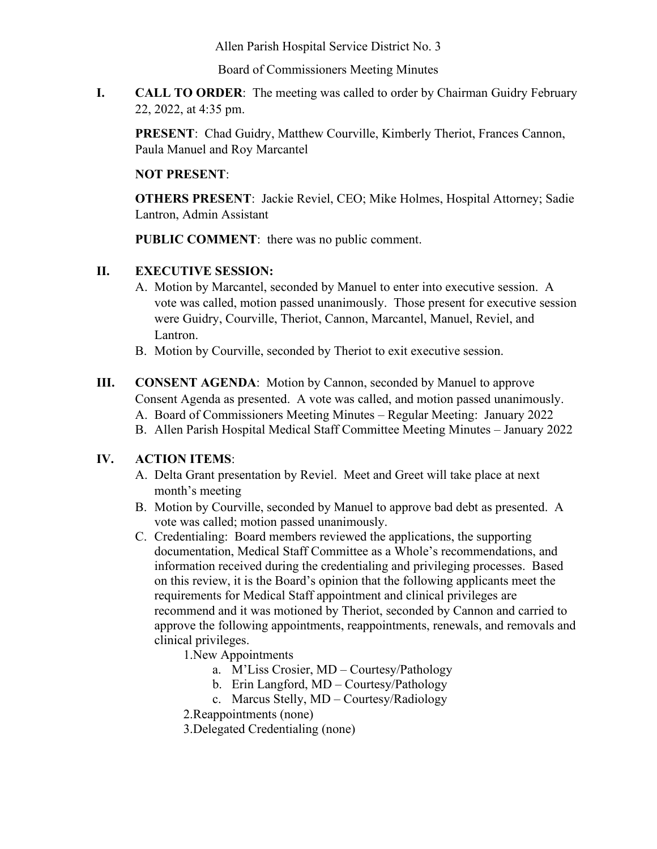Allen Parish Hospital Service District No. 3

Board of Commissioners Meeting Minutes

**I. CALL TO ORDER**: The meeting was called to order by Chairman Guidry February 22, 2022, at 4:35 pm.

**PRESENT**: Chad Guidry, Matthew Courville, Kimberly Theriot, Frances Cannon, Paula Manuel and Roy Marcantel

### **NOT PRESENT**:

**OTHERS PRESENT**: Jackie Reviel, CEO; Mike Holmes, Hospital Attorney; Sadie Lantron, Admin Assistant

**PUBLIC COMMENT**: there was no public comment.

### **II. EXECUTIVE SESSION:**

- A. Motion by Marcantel, seconded by Manuel to enter into executive session. A vote was called, motion passed unanimously. Those present for executive session were Guidry, Courville, Theriot, Cannon, Marcantel, Manuel, Reviel, and Lantron.
- B. Motion by Courville, seconded by Theriot to exit executive session.
- **III. CONSENT AGENDA**: Motion by Cannon, seconded by Manuel to approve Consent Agenda as presented. A vote was called, and motion passed unanimously. A. Board of Commissioners Meeting Minutes – Regular Meeting: January 2022 B. Allen Parish Hospital Medical Staff Committee Meeting Minutes – January 2022

# **IV. ACTION ITEMS**:

- A. Delta Grant presentation by Reviel. Meet and Greet will take place at next month's meeting
- B. Motion by Courville, seconded by Manuel to approve bad debt as presented. A vote was called; motion passed unanimously.
- C. Credentialing: Board members reviewed the applications, the supporting documentation, Medical Staff Committee as a Whole's recommendations, and information received during the credentialing and privileging processes. Based on this review, it is the Board's opinion that the following applicants meet the requirements for Medical Staff appointment and clinical privileges are recommend and it was motioned by Theriot, seconded by Cannon and carried to approve the following appointments, reappointments, renewals, and removals and clinical privileges.

1.New Appointments

- a. M'Liss Crosier, MD Courtesy/Pathology
- b. Erin Langford, MD Courtesy/Pathology
- c. Marcus Stelly, MD Courtesy/Radiology
- 2.Reappointments (none)
- 3.Delegated Credentialing (none)